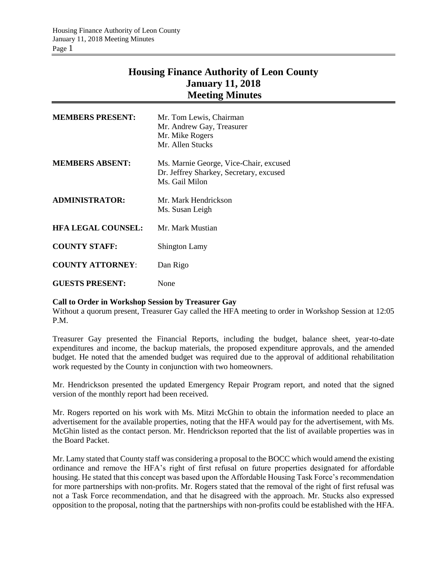## **Housing Finance Authority of Leon County January 11, 2018 Meeting Minutes**

| <b>MEMBERS PRESENT:</b>   | Mr. Tom Lewis, Chairman<br>Mr. Andrew Gay, Treasurer<br>Mr. Mike Rogers<br>Mr. Allen Stucks         |
|---------------------------|-----------------------------------------------------------------------------------------------------|
| <b>MEMBERS ABSENT:</b>    | Ms. Marnie George, Vice-Chair, excused<br>Dr. Jeffrey Sharkey, Secretary, excused<br>Ms. Gail Milon |
| <b>ADMINISTRATOR:</b>     | Mr. Mark Hendrickson<br>Ms. Susan Leigh                                                             |
| <b>HFA LEGAL COUNSEL:</b> | Mr. Mark Mustian                                                                                    |
| <b>COUNTY STAFF:</b>      | <b>Shington Lamy</b>                                                                                |
| <b>COUNTY ATTORNEY:</b>   | Dan Rigo                                                                                            |
| <b>GUESTS PRESENT:</b>    | None                                                                                                |

## **Call to Order in Workshop Session by Treasurer Gay**

Without a quorum present, Treasurer Gay called the HFA meeting to order in Workshop Session at 12:05 P.M.

Treasurer Gay presented the Financial Reports, including the budget, balance sheet, year-to-date expenditures and income, the backup materials, the proposed expenditure approvals, and the amended budget. He noted that the amended budget was required due to the approval of additional rehabilitation work requested by the County in conjunction with two homeowners.

Mr. Hendrickson presented the updated Emergency Repair Program report, and noted that the signed version of the monthly report had been received.

Mr. Rogers reported on his work with Ms. Mitzi McGhin to obtain the information needed to place an advertisement for the available properties, noting that the HFA would pay for the advertisement, with Ms. McGhin listed as the contact person. Mr. Hendrickson reported that the list of available properties was in the Board Packet.

Mr. Lamy stated that County staff was considering a proposal to the BOCC which would amend the existing ordinance and remove the HFA's right of first refusal on future properties designated for affordable housing. He stated that this concept was based upon the Affordable Housing Task Force's recommendation for more partnerships with non-profits. Mr. Rogers stated that the removal of the right of first refusal was not a Task Force recommendation, and that he disagreed with the approach. Mr. Stucks also expressed opposition to the proposal, noting that the partnerships with non-profits could be established with the HFA.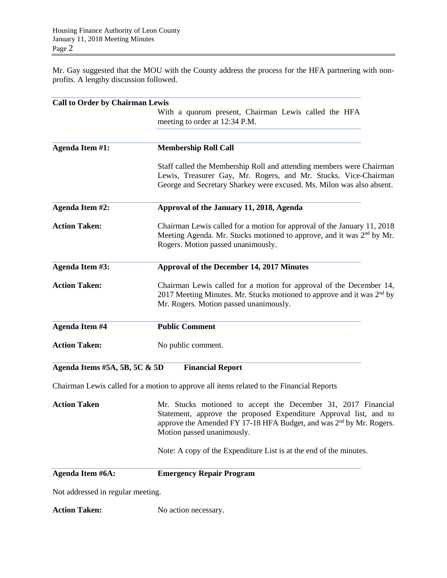Mr. Gay suggested that the MOU with the County address the process for the HFA partnering with nonprofits. A lengthy discussion followed.

| <b>Call to Order by Chairman Lewis</b> |                                                                                                                                                                                                                                                     |
|----------------------------------------|-----------------------------------------------------------------------------------------------------------------------------------------------------------------------------------------------------------------------------------------------------|
|                                        | With a quorum present, Chairman Lewis called the HFA<br>meeting to order at 12:34 P.M.                                                                                                                                                              |
| Agenda Item #1:                        | <b>Membership Roll Call</b>                                                                                                                                                                                                                         |
|                                        | Staff called the Membership Roll and attending members were Chairman<br>Lewis, Treasurer Gay, Mr. Rogers, and Mr. Stucks. Vice-Chairman<br>George and Secretary Sharkey were excused. Ms. Milon was also absent.                                    |
| Agenda Item #2:                        | Approval of the January 11, 2018, Agenda                                                                                                                                                                                                            |
| <b>Action Taken:</b>                   | Chairman Lewis called for a motion for approval of the January 11, 2018<br>Meeting Agenda. Mr. Stucks motioned to approve, and it was 2 <sup>nd</sup> by Mr.<br>Rogers. Motion passed unanimously.                                                  |
| Agenda Item #3:                        | Approval of the December 14, 2017 Minutes                                                                                                                                                                                                           |
| <b>Action Taken:</b>                   | Chairman Lewis called for a motion for approval of the December 14,<br>2017 Meeting Minutes. Mr. Stucks motioned to approve and it was $2nd$ by<br>Mr. Rogers. Motion passed unanimously.                                                           |
| <b>Agenda Item #4</b>                  | <b>Public Comment</b>                                                                                                                                                                                                                               |
| <b>Action Taken:</b>                   | No public comment.                                                                                                                                                                                                                                  |
| Agenda Items #5A, 5B, 5C $\&$ 5D       | <b>Financial Report</b>                                                                                                                                                                                                                             |
|                                        | Chairman Lewis called for a motion to approve all items related to the Financial Reports                                                                                                                                                            |
| <b>Action Taken</b>                    | Mr. Stucks motioned to accept the December 31, 2017 Financial<br>Statement, approve the proposed Expenditure Approval list, and to<br>approve the Amended FY 17-18 HFA Budget, and was 2 <sup>nd</sup> by Mr. Rogers.<br>Motion passed unanimously. |
|                                        | Note: A copy of the Expenditure List is at the end of the minutes.                                                                                                                                                                                  |
| Agenda Item #6A:                       | <b>Emergency Repair Program</b>                                                                                                                                                                                                                     |
| Not addressed in regular meeting.      |                                                                                                                                                                                                                                                     |

Action Taken: No action necessary.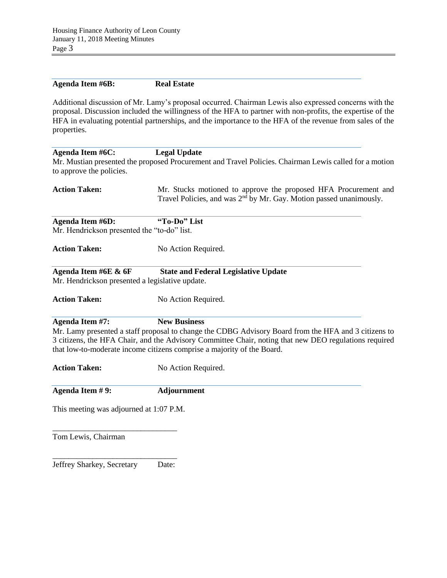| <b>Agenda Item #6B:</b>                                                 | <b>Real Estate</b>                                                                                                                                                                                                                                                                                                               |
|-------------------------------------------------------------------------|----------------------------------------------------------------------------------------------------------------------------------------------------------------------------------------------------------------------------------------------------------------------------------------------------------------------------------|
| properties.                                                             | Additional discussion of Mr. Lamy's proposal occurred. Chairman Lewis also expressed concerns with the<br>proposal. Discussion included the willingness of the HFA to partner with non-profits, the expertise of the<br>HFA in evaluating potential partnerships, and the importance to the HFA of the revenue from sales of the |
| <b>Agenda Item #6C:</b>                                                 | <b>Legal Update</b>                                                                                                                                                                                                                                                                                                              |
| to approve the policies.                                                | Mr. Mustian presented the proposed Procurement and Travel Policies. Chairman Lewis called for a motion                                                                                                                                                                                                                           |
| <b>Action Taken:</b>                                                    | Mr. Stucks motioned to approve the proposed HFA Procurement and<br>Travel Policies, and was 2 <sup>nd</sup> by Mr. Gay. Motion passed unanimously.                                                                                                                                                                               |
| <b>Agenda Item #6D:</b>                                                 | "To-Do" List                                                                                                                                                                                                                                                                                                                     |
| Mr. Hendrickson presented the "to-do" list.                             |                                                                                                                                                                                                                                                                                                                                  |
| <b>Action Taken:</b>                                                    | No Action Required.                                                                                                                                                                                                                                                                                                              |
| Agenda Item #6E & 6F<br>Mr. Hendrickson presented a legislative update. | <b>State and Federal Legislative Update</b>                                                                                                                                                                                                                                                                                      |
| <b>Action Taken:</b>                                                    | No Action Required.                                                                                                                                                                                                                                                                                                              |
| Agenda Item #7:                                                         | <b>New Business</b>                                                                                                                                                                                                                                                                                                              |
|                                                                         | Mr. Lamy presented a staff proposal to change the CDBG Advisory Board from the HFA and 3 citizens to<br>3 citizens, the HFA Chair, and the Advisory Committee Chair, noting that new DEO regulations required<br>that low-to-moderate income citizens comprise a majority of the Board.                                          |
| <b>Action Taken:</b>                                                    | No Action Required.                                                                                                                                                                                                                                                                                                              |
| Agenda Item #9:                                                         | <b>Adjournment</b>                                                                                                                                                                                                                                                                                                               |
| This meeting was adjourned at 1:07 P.M.                                 |                                                                                                                                                                                                                                                                                                                                  |
| Tom Lewis, Chairman                                                     |                                                                                                                                                                                                                                                                                                                                  |
| Jeffrey Sharkey, Secretary                                              | Date:                                                                                                                                                                                                                                                                                                                            |